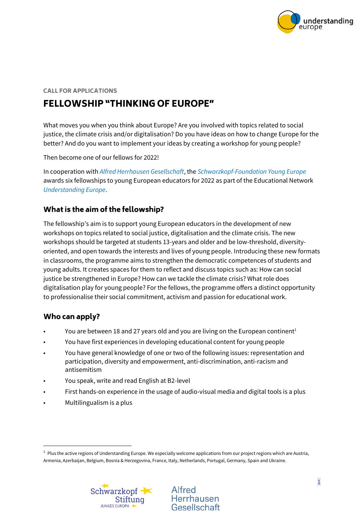

#### **CALL FOR APPLICATIONS**

# **FELLOWSHIP "THINKING OF EUROPE"**

What moves you when you think about Europe? Are you involved with topics related to social justice, the climate crisis and/or digitalisation? Do you have ideas on how to change Europe for the better? And do you want to implement your ideas by creating a workshop for young people?

Then become one of our fellows for 2022!

In cooperation with *[Alfred Herrhausen Gesellschaft](https://alfred-herrhausen-gesellschaft.de/index?language_id=1)*, the *[Schwarzkopf-Foundation](https://schwarzkopf-stiftung.de/en/) Young Europe* awards six fellowships to young European educators for 2022 as part of the Educational Network *[Understanding Europe](https://understanding-europe.org/en/)*.

### What is the aim of the fellowship?

The fellowship's aim is to support young European educators in the development of new workshops on topics related to social justice, digitalisation and the climate crisis. The new workshops should be targeted at students 13-years and older and be low-threshold, diversityoriented, and open towards the interests and lives of young people. Introducing these new formats in classrooms, the programme aims to strengthen the democratic competences of students and young adults. It creates spaces for them to reflect and discuss topics such as: How can social justice be strengthened in Europe? How can we tackle the climate crisis? What role does digitalisation play for young people? For the fellows, the programme offers a distinct opportunity to professionalise their social commitment, activism and passion for educational work.

#### Who can apply?

- You are between 18 and 27 years old and you are living on the European continent<sup>1</sup>
- You have first experiences in developing educational content for young people
- You have general knowledge of one or two of the following issues: representation and participation, diversity and empowerment, anti-discrimination, anti-racism and antisemitism
- You speak, write and read English at B2-level
- First hands-on experience in the usage of audio-visual media and digital tools is a plus
- Multilingualism is a plus

<sup>&</sup>lt;sup>1</sup> Plus the active regions of Understanding Europe. We especially welcome applications from our project regions which are Austria, Armenia, Azerbaijan, Belgium, Bosnia & Herzegovina, France, Italy, Netherlands, Portugal, Germany, Spain and Ukraine.



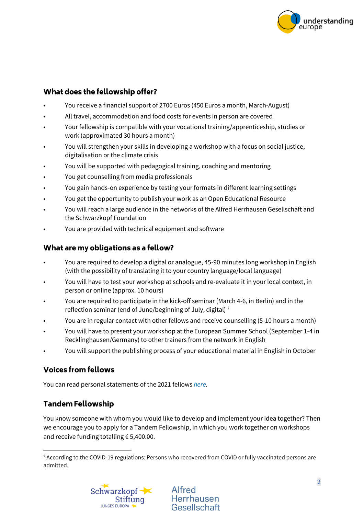

### What does the fellowship offer?

- You receive a financial support of 2700 Euros (450 Euros a month, March-August)
- All travel, accommodation and food costs for events in person are covered
- Your fellowship is compatible with your vocational training/apprenticeship, studies or work (approximated 30 hours a month)
- You will strengthen your skills in developing a workshop with a focus on social justice, digitalisation or the climate crisis
- You will be supported with pedagogical training, coaching and mentoring
- You get counselling from media professionals
- You gain hands-on experience by testing your formats in different learning settings
- You get the opportunity to publish your work as an Open Educational Resource
- You will reach a large audience in the networks of the Alfred Herrhausen Gesellschaft and the Schwarzkopf Foundation
- You are provided with technical equipment and software

#### What are my obligations as a fellow?

- You are required to develop a digital or analogue, 45-90 minutes long workshop in English (with the possibility of translating it to your country language/local language)
- You will have to test your workshop at schools and re-evaluate it in your local context, in person or online (approx. 10 hours)
- You are required to participate in the kick-off seminar (March 4-6, in Berlin) and in the reflection seminar (end of June/beginning of July, digital) <sup>2</sup>
- You are in regular contact with other fellows and receive counselling (5-10 hours a month)
- You will have to present your workshop at the European Summer School (September 1-4 in Recklinghausen/Germany) to other trainers from the network in English
- You will support the publishing process of your educational material in English in October

# **Voices from fellows**

You can read personal statements of the 2021 fellows *[here.](https://understanding-europe.org/mitmachen/fellowships/fellowship-programm-digital-europe/)*

# **Tandem Fellowship**

You know someone with whom you would like to develop and implement your idea together? Then we encourage you to apply for a Tandem Fellowship, in which you work together on workshops and receive funding totalling € 5,400.00.

<sup>&</sup>lt;sup>2</sup> According to the COVID-19 regulations: Persons who recovered from COVID or fully vaccinated persons are admitted.